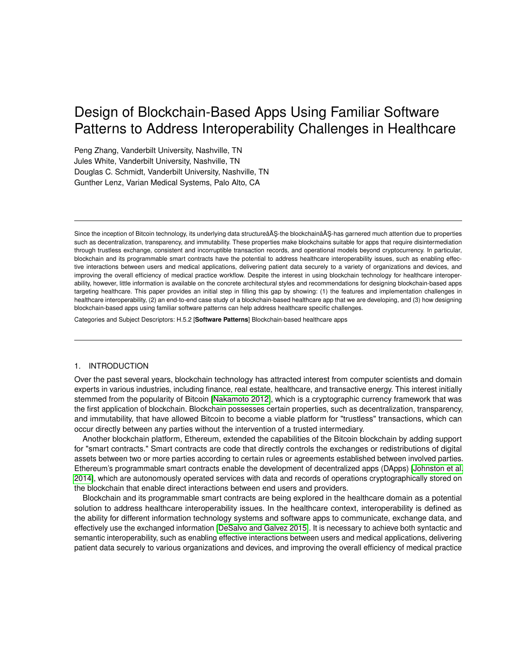# Design of Blockchain-Based Apps Using Familiar Software Patterns to Address Interoperability Challenges in Healthcare

Peng Zhang, Vanderbilt University, Nashville, TN Jules White, Vanderbilt University, Nashville, TN Douglas C. Schmidt, Vanderbilt University, Nashville, TN Gunther Lenz, Varian Medical Systems, Palo Alto, CA

Since the inception of Bitcoin technology, its underlying data structureâĂŞ-the blockchainâĂŞ-has garnered much attention due to properties such as decentralization, transparency, and immutability. These properties make blockchains suitable for apps that require disintermediation through trustless exchange, consistent and incorruptible transaction records, and operational models beyond cryptocurrency. In particular, blockchain and its programmable smart contracts have the potential to address healthcare interoperability issues, such as enabling effective interactions between users and medical applications, delivering patient data securely to a variety of organizations and devices, and improving the overall efficiency of medical practice workflow. Despite the interest in using blockchain technology for healthcare interoperability, however, little information is available on the concrete architectural styles and recommendations for designing blockchain-based apps targeting healthcare. This paper provides an initial step in filling this gap by showing: (1) the features and implementation challenges in healthcare interoperability, (2) an end-to-end case study of a blockchain-based healthcare app that we are developing, and (3) how designing blockchain-based apps using familiar software patterns can help address healthcare specific challenges.

Categories and Subject Descriptors: H.5.2 [**Software Patterns**] Blockchain-based healthcare apps

#### 1. INTRODUCTION

Over the past several years, blockchain technology has attracted interest from computer scientists and domain experts in various industries, including finance, real estate, healthcare, and transactive energy. This interest initially stemmed from the popularity of Bitcoin [\[Nakamoto 2012\]](#page-12-0), which is a cryptographic currency framework that was the first application of blockchain. Blockchain possesses certain properties, such as decentralization, transparency, and immutability, that have allowed Bitcoin to become a viable platform for "trustless" transactions, which can occur directly between any parties without the intervention of a trusted intermediary.

Another blockchain platform, Ethereum, extended the capabilities of the Bitcoin blockchain by adding support for "smart contracts." Smart contracts are code that directly controls the exchanges or redistributions of digital assets between two or more parties according to certain rules or agreements established between involved parties. Ethereum's programmable smart contracts enable the development of decentralized apps (DApps) [\[Johnston et al.](#page-12-1) [2014\]](#page-12-1), which are autonomously operated services with data and records of operations cryptographically stored on the blockchain that enable direct interactions between end users and providers.

Blockchain and its programmable smart contracts are being explored in the healthcare domain as a potential solution to address healthcare interoperability issues. In the healthcare context, interoperability is defined as the ability for different information technology systems and software apps to communicate, exchange data, and effectively use the exchanged information [\[DeSalvo and Galvez 2015\]](#page-12-2). It is necessary to achieve both syntactic and semantic interoperability, such as enabling effective interactions between users and medical applications, delivering patient data securely to various organizations and devices, and improving the overall efficiency of medical practice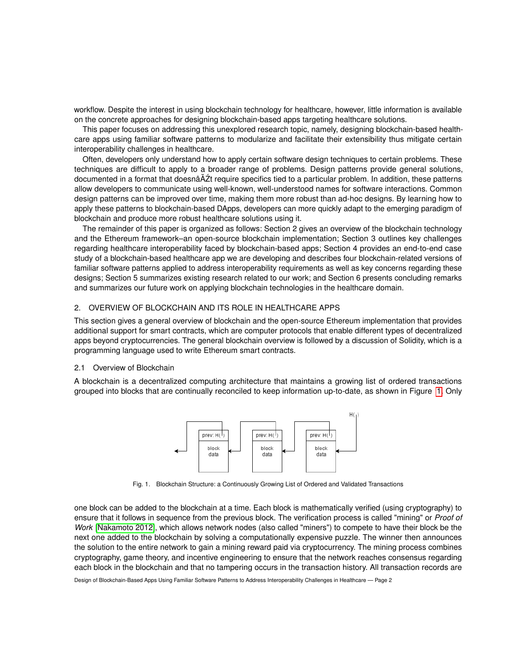workflow. Despite the interest in using blockchain technology for healthcare, however, little information is available on the concrete approaches for designing blockchain-based apps targeting healthcare solutions.

This paper focuses on addressing this unexplored research topic, namely, designing blockchain-based healthcare apps using familiar software patterns to modularize and facilitate their extensibility thus mitigate certain interoperability challenges in healthcare.

Often, developers only understand how to apply certain software design techniques to certain problems. These techniques are difficult to apply to a broader range of problems. Design patterns provide general solutions, documented in a format that doesnâ $\Delta z$ t require specifics tied to a particular problem. In addition, these patterns allow developers to communicate using well-known, well-understood names for software interactions. Common design patterns can be improved over time, making them more robust than ad-hoc designs. By learning how to apply these patterns to blockchain-based DApps, developers can more quickly adapt to the emerging paradigm of blockchain and produce more robust healthcare solutions using it.

The remainder of this paper is organized as follows: Section 2 gives an overview of the blockchain technology and the Ethereum framework–an open-source blockchain implementation; Section 3 outlines key challenges regarding healthcare interoperability faced by blockchain-based apps; Section 4 provides an end-to-end case study of a blockchain-based healthcare app we are developing and describes four blockchain-related versions of familiar software patterns applied to address interoperability requirements as well as key concerns regarding these designs; Section 5 summarizes existing research related to our work; and Section 6 presents concluding remarks and summarizes our future work on applying blockchain technologies in the healthcare domain.

#### 2. OVERVIEW OF BLOCKCHAIN AND ITS ROLE IN HEALTHCARE APPS

This section gives a general overview of blockchain and the open-source Ethereum implementation that provides additional support for smart contracts, which are computer protocols that enable different types of decentralized apps beyond cryptocurrencies. The general blockchain overview is followed by a discussion of Solidity, which is a programming language used to write Ethereum smart contracts.

## <span id="page-1-1"></span>2.1 Overview of Blockchain

A blockchain is a decentralized computing architecture that maintains a growing list of ordered transactions grouped into blocks that are continually reconciled to keep information up-to-date, as shown in Figure [1.](#page-1-0) Only



<span id="page-1-0"></span>Fig. 1. Blockchain Structure: a Continuously Growing List of Ordered and Validated Transactions

one block can be added to the blockchain at a time. Each block is mathematically verified (using cryptography) to ensure that it follows in sequence from the previous block. The verification process is called "mining" or *Proof of Work* [\[Nakamoto 2012\]](#page-12-0), which allows network nodes (also called "miners") to compete to have their block be the next one added to the blockchain by solving a computationally expensive puzzle. The winner then announces the solution to the entire network to gain a mining reward paid via cryptocurrency. The mining process combines cryptography, game theory, and incentive engineering to ensure that the network reaches consensus regarding each block in the blockchain and that no tampering occurs in the transaction history. All transaction records are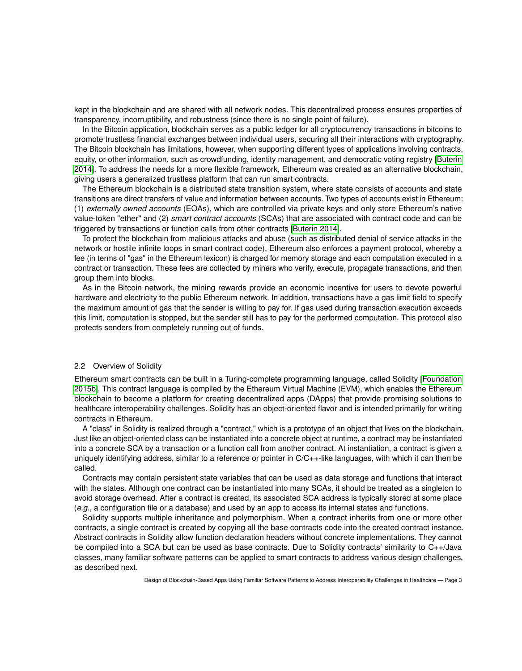kept in the blockchain and are shared with all network nodes. This decentralized process ensures properties of transparency, incorruptibility, and robustness (since there is no single point of failure).

In the Bitcoin application, blockchain serves as a public ledger for all cryptocurrency transactions in bitcoins to promote trustless financial exchanges between individual users, securing all their interactions with cryptography. The Bitcoin blockchain has limitations, however, when supporting different types of applications involving contracts, equity, or other information, such as crowdfunding, identity management, and democratic voting registry [\[Buterin](#page-12-3) [2014\]](#page-12-3). To address the needs for a more flexible framework, Ethereum was created as an alternative blockchain, giving users a generalized trustless platform that can run smart contracts.

The Ethereum blockchain is a distributed state transition system, where state consists of accounts and state transitions are direct transfers of value and information between accounts. Two types of accounts exist in Ethereum: (1) *externally owned accounts* (EOAs), which are controlled via private keys and only store Ethereum's native value-token "ether" and (2) *smart contract accounts* (SCAs) that are associated with contract code and can be triggered by transactions or function calls from other contracts [\[Buterin 2014\]](#page-12-3).

To protect the blockchain from malicious attacks and abuse (such as distributed denial of service attacks in the network or hostile infinite loops in smart contract code), Ethereum also enforces a payment protocol, whereby a fee (in terms of "gas" in the Ethereum lexicon) is charged for memory storage and each computation executed in a contract or transaction. These fees are collected by miners who verify, execute, propagate transactions, and then group them into blocks.

As in the Bitcoin network, the mining rewards provide an economic incentive for users to devote powerful hardware and electricity to the public Ethereum network. In addition, transactions have a gas limit field to specify the maximum amount of gas that the sender is willing to pay for. If gas used during transaction execution exceeds this limit, computation is stopped, but the sender still has to pay for the performed computation. This protocol also protects senders from completely running out of funds.

#### 2.2 Overview of Solidity

Ethereum smart contracts can be built in a Turing-complete programming language, called Solidity [\[Foundation](#page-12-4) [2015b\]](#page-12-4). This contract language is compiled by the Ethereum Virtual Machine (EVM), which enables the Ethereum blockchain to become a platform for creating decentralized apps (DApps) that provide promising solutions to healthcare interoperability challenges. Solidity has an object-oriented flavor and is intended primarily for writing contracts in Ethereum.

A "class" in Solidity is realized through a "contract," which is a prototype of an object that lives on the blockchain. Just like an object-oriented class can be instantiated into a concrete object at runtime, a contract may be instantiated into a concrete SCA by a transaction or a function call from another contract. At instantiation, a contract is given a uniquely identifying address, similar to a reference or pointer in C/C++-like languages, with which it can then be called.

Contracts may contain persistent state variables that can be used as data storage and functions that interact with the states. Although one contract can be instantiated into many SCAs, it should be treated as a singleton to avoid storage overhead. After a contract is created, its associated SCA address is typically stored at some place (*e.g.*, a configuration file or a database) and used by an app to access its internal states and functions.

Solidity supports multiple inheritance and polymorphism. When a contract inherits from one or more other contracts, a single contract is created by copying all the base contracts code into the created contract instance. Abstract contracts in Solidity allow function declaration headers without concrete implementations. They cannot be compiled into a SCA but can be used as base contracts. Due to Solidity contracts' similarity to C++/Java classes, many familiar software patterns can be applied to smart contracts to address various design challenges, as described next.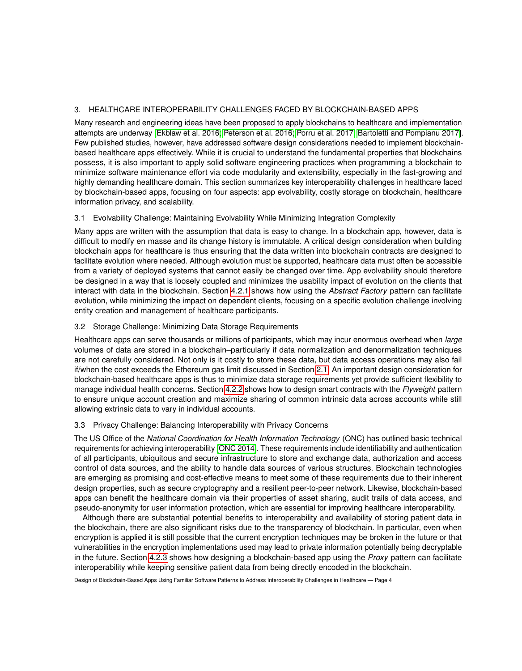# 3. HEALTHCARE INTEROPERABILITY CHALLENGES FACED BY BLOCKCHAIN-BASED APPS

Many research and engineering ideas have been proposed to apply blockchains to healthcare and implementation attempts are underway [\[Ekblaw et al.](#page-12-5) 2016; [Peterson et al.](#page-13-0) 2016; [Porru et al.](#page-13-1) 2017; [Bartoletti and Pompianu 2017\]](#page-12-6). Few published studies, however, have addressed software design considerations needed to implement blockchainbased healthcare apps effectively. While it is crucial to understand the fundamental properties that blockchains possess, it is also important to apply solid software engineering practices when programming a blockchain to minimize software maintenance effort via code modularity and extensibility, especially in the fast-growing and highly demanding healthcare domain. This section summarizes key interoperability challenges in healthcare faced by blockchain-based apps, focusing on four aspects: app evolvability, costly storage on blockchain, healthcare information privacy, and scalability.

## 3.1 Evolvability Challenge: Maintaining Evolvability While Minimizing Integration Complexity

Many apps are written with the assumption that data is easy to change. In a blockchain app, however, data is difficult to modify en masse and its change history is immutable. A critical design consideration when building blockchain apps for healthcare is thus ensuring that the data written into blockchain contracts are designed to facilitate evolution where needed. Although evolution must be supported, healthcare data must often be accessible from a variety of deployed systems that cannot easily be changed over time. App evolvability should therefore be designed in a way that is loosely coupled and minimizes the usability impact of evolution on the clients that interact with data in the blockchain. Section [4.2.1](#page-5-0) shows how using the *Abstract Factory* pattern can facilitate evolution, while minimizing the impact on dependent clients, focusing on a specific evolution challenge involving entity creation and management of healthcare participants.

## 3.2 Storage Challenge: Minimizing Data Storage Requirements

Healthcare apps can serve thousands or millions of participants, which may incur enormous overhead when *large* volumes of data are stored in a blockchain–particularly if data normalization and denormalization techniques are not carefully considered. Not only is it costly to store these data, but data access operations may also fail if/when the cost exceeds the Ethereum gas limit discussed in Section [2.1.](#page-1-1) An important design consideration for blockchain-based healthcare apps is thus to minimize data storage requirements yet provide sufficient flexibility to manage individual health concerns. Section [4.2.2](#page-7-0) shows how to design smart contracts with the *Flyweight* pattern to ensure unique account creation and maximize sharing of common intrinsic data across accounts while still allowing extrinsic data to vary in individual accounts.

## 3.3 Privacy Challenge: Balancing Interoperability with Privacy Concerns

The US Office of the *National Coordination for Health Information Technology* (ONC) has outlined basic technical requirements for achieving interoperability [\[ONC 2014\]](#page-13-2). These requirements include identifiability and authentication of all participants, ubiquitous and secure infrastructure to store and exchange data, authorization and access control of data sources, and the ability to handle data sources of various structures. Blockchain technologies are emerging as promising and cost-effective means to meet some of these requirements due to their inherent design properties, such as secure cryptography and a resilient peer-to-peer network. Likewise, blockchain-based apps can benefit the healthcare domain via their properties of asset sharing, audit trails of data access, and pseudo-anonymity for user information protection, which are essential for improving healthcare interoperability.

Although there are substantial potential benefits to interoperability and availability of storing patient data in the blockchain, there are also significant risks due to the transparency of blockchain. In particular, even when encryption is applied it is still possible that the current encryption techniques may be broken in the future or that vulnerabilities in the encryption implementations used may lead to private information potentially being decryptable in the future. Section [4.2.3](#page-8-0) shows how designing a blockchain-based app using the *Proxy* pattern can facilitate interoperability while keeping sensitive patient data from being directly encoded in the blockchain.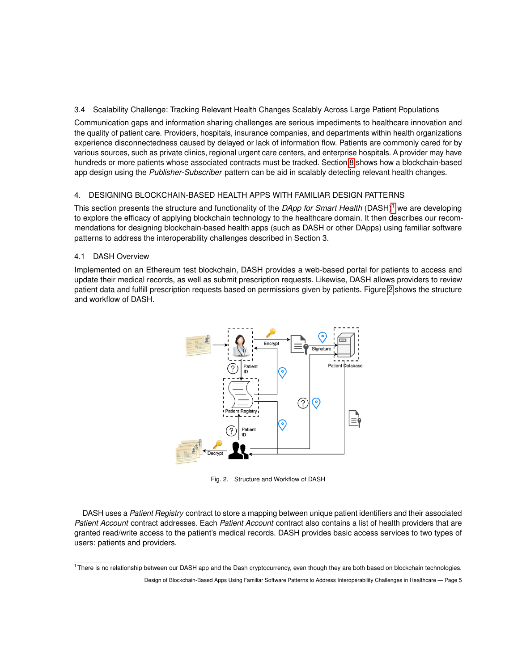3.4 Scalability Challenge: Tracking Relevant Health Changes Scalably Across Large Patient Populations

Communication gaps and information sharing challenges are serious impediments to healthcare innovation and the quality of patient care. Providers, hospitals, insurance companies, and departments within health organizations experience disconnectedness caused by delayed or lack of information flow. Patients are commonly cared for by various sources, such as private clinics, regional urgent care centers, and enterprise hospitals. A provider may have hundreds or more patients whose associated contracts must be tracked. Section [8](#page-10-0) shows how a blockchain-based app design using the *Publisher-Subscriber* pattern can be aid in scalably detecting relevant health changes.

## 4. DESIGNING BLOCKCHAIN-BASED HEALTH APPS WITH FAMILIAR DESIGN PATTERNS

This section presents the structure and functionality of the *DApp for Smart Health* (DASH)[1](#page-4-0) we are developing to explore the efficacy of applying blockchain technology to the healthcare domain. It then describes our recommendations for designing blockchain-based health apps (such as DASH or other DApps) using familiar software patterns to address the interoperability challenges described in Section 3.

## 4.1 DASH Overview

Implemented on an Ethereum test blockchain, DASH provides a web-based portal for patients to access and update their medical records, as well as submit prescription requests. Likewise, DASH allows providers to review patient data and fulfill prescription requests based on permissions given by patients. Figure [2](#page-4-1) shows the structure and workflow of DASH.



<span id="page-4-1"></span>Fig. 2. Structure and Workflow of DASH

DASH uses a *Patient Registry* contract to store a mapping between unique patient identifiers and their associated *Patient Account* contract addresses. Each *Patient Account* contract also contains a list of health providers that are granted read/write access to the patient's medical records. DASH provides basic access services to two types of users: patients and providers.

<span id="page-4-0"></span> $1$ There is no relationship between our DASH app and the Dash cryptocurrency, even though they are both based on blockchain technologies.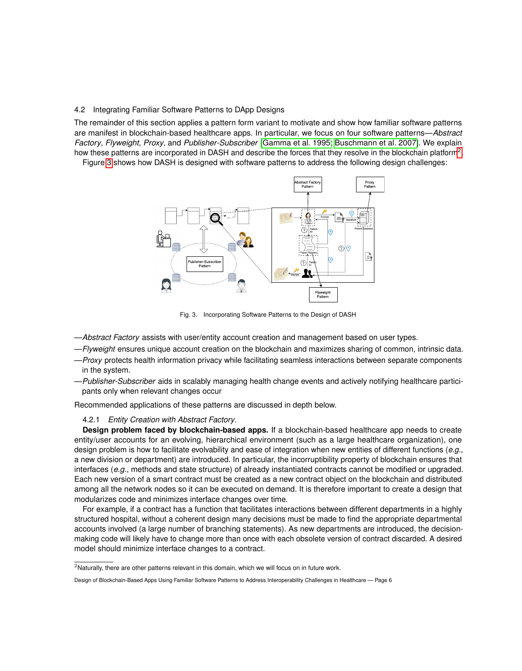## 4.2 Integrating Familiar Software Patterns to DApp Designs

The remainder of this section applies a pattern form variant to motivate and show how familiar software patterns are manifest in blockchain-based healthcare apps. In particular, we focus on four software patterns—*Abstract Factory*, *Flyweight*, *Proxy*, and *Publisher-Subscriber* [\[Gamma et al.](#page-12-7) 1995; [Buschmann et al.](#page-12-8) 2007]. We explain how these patterns are incorporated in DASH and describe the forces that they resolve in the blockchain platform<sup>[2](#page-5-1)</sup>.

Figure [3](#page-5-2) shows how DASH is designed with software patterns to address the following design challenges:



<span id="page-5-2"></span>Fig. 3. Incorporating Software Patterns to the Design of DASH

- —*Abstract Factory* assists with user/entity account creation and management based on user types.
- —*Flyweight* ensures unique account creation on the blockchain and maximizes sharing of common, intrinsic data.
- —*Proxy* protects health information privacy while facilitating seamless interactions between separate components in the system.
- —*Publisher-Subscriber* aids in scalably managing health change events and actively notifying healthcare participants only when relevant changes occur

Recommended applications of these patterns are discussed in depth below.

## <span id="page-5-0"></span>4.2.1 *Entity Creation with Abstract Factory.*

**Design problem faced by blockchain-based apps.** If a blockchain-based healthcare app needs to create entity/user accounts for an evolving, hierarchical environment (such as a large healthcare organization), one design problem is how to facilitate evolvability and ease of integration when new entities of different functions (*e.g.*, a new division or department) are introduced. In particular, the incorruptibility property of blockchain ensures that interfaces (*e.g.*, methods and state structure) of already instantiated contracts cannot be modified or upgraded. Each new version of a smart contract must be created as a new contract object on the blockchain and distributed among all the network nodes so it can be executed on demand. It is therefore important to create a design that modularizes code and minimizes interface changes over time.

For example, if a contract has a function that facilitates interactions between different departments in a highly structured hospital, without a coherent design many decisions must be made to find the appropriate departmental accounts involved (a large number of branching statements). As new departments are introduced, the decisionmaking code will likely have to change more than once with each obsolete version of contract discarded. A desired model should minimize interface changes to a contract.

<span id="page-5-1"></span> $2$ Naturally, there are other patterns relevant in this domain, which we will focus on in future work.

Design of Blockchain-Based Apps Using Familiar Software Patterns to Address Interoperability Challenges in Healthcare — Page 6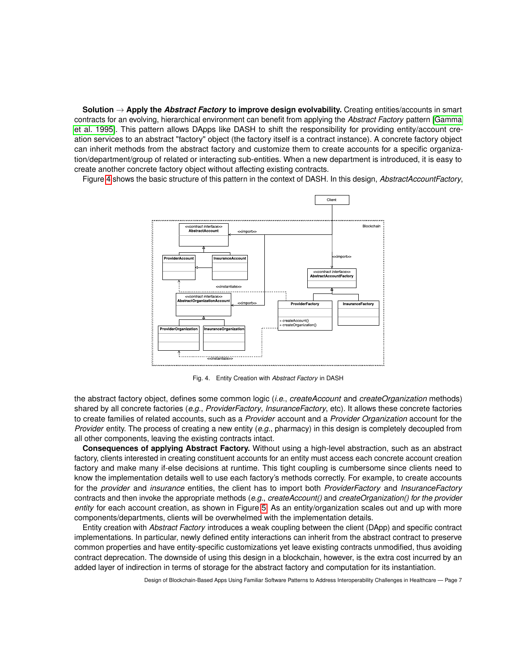**Solution** → **Apply the** *Abstract Factory* **to improve design evolvability.** Creating entities/accounts in smart contracts for an evolving, hierarchical environment can benefit from applying the *Abstract Factory* pattern [\[Gamma](#page-12-7) et al. [1995\]](#page-12-7). This pattern allows DApps like DASH to shift the responsibility for providing entity/account creation services to an abstract "factory" object (the factory itself is a contract instance). A concrete factory object can inherit methods from the abstract factory and customize them to create accounts for a specific organization/department/group of related or interacting sub-entities. When a new department is introduced, it is easy to create another concrete factory object without affecting existing contracts.

Figure [4](#page-6-0) shows the basic structure of this pattern in the context of DASH. In this design, *AbstractAccountFactory*,



<span id="page-6-0"></span>Fig. 4. Entity Creation with *Abstract Factory* in DASH

the abstract factory object, defines some common logic (*i.e.*, *createAccount* and *createOrganization* methods) shared by all concrete factories (*e.g.*, *ProviderFactory*, *InsuranceFactory*, etc). It allows these concrete factories to create families of related accounts, such as a *Provider* account and a *Provider Organization* account for the *Provider* entity. The process of creating a new entity (*e.g.*, pharmacy) in this design is completely decoupled from all other components, leaving the existing contracts intact.

**Consequences of applying Abstract Factory.** Without using a high-level abstraction, such as an abstract factory, clients interested in creating constituent accounts for an entity must access each concrete account creation factory and make many if-else decisions at runtime. This tight coupling is cumbersome since clients need to know the implementation details well to use each factory's methods correctly. For example, to create accounts for the *provider* and *insurance* entities, the client has to import both *ProviderFactory* and *InsuranceFactory* contracts and then invoke the appropriate methods (*e.g.*, *createAccount()* and *createOrganization() for the provider entity* for each account creation, as shown in Figure [5.](#page-7-1) As an entity/organization scales out and up with more components/departments, clients will be overwhelmed with the implementation details.

Entity creation with *Abstract Factory* introduces a weak coupling between the client (DApp) and specific contract implementations. In particular, newly defined entity interactions can inherit from the abstract contract to preserve common properties and have entity-specific customizations yet leave existing contracts unmodified, thus avoiding contract deprecation. The downside of using this design in a blockchain, however, is the extra cost incurred by an added layer of indirection in terms of storage for the abstract factory and computation for its instantiation.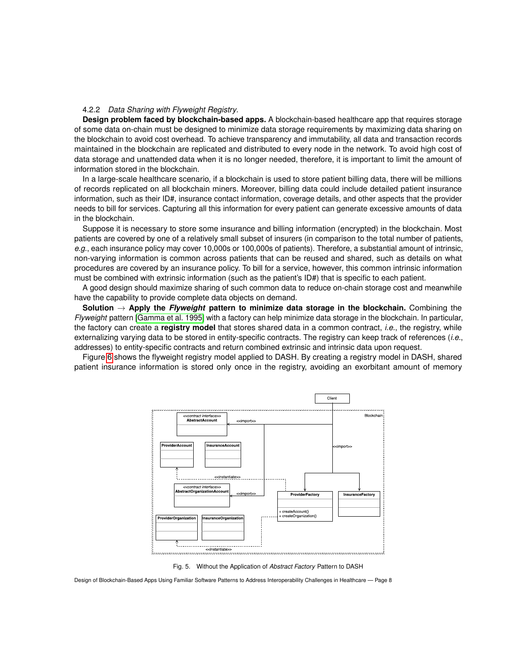#### <span id="page-7-0"></span>4.2.2 *Data Sharing with Flyweight Registry.*

**Design problem faced by blockchain-based apps.** A blockchain-based healthcare app that requires storage of some data on-chain must be designed to minimize data storage requirements by maximizing data sharing on the blockchain to avoid cost overhead. To achieve transparency and immutability, all data and transaction records maintained in the blockchain are replicated and distributed to every node in the network. To avoid high cost of data storage and unattended data when it is no longer needed, therefore, it is important to limit the amount of information stored in the blockchain.

In a large-scale healthcare scenario, if a blockchain is used to store patient billing data, there will be millions of records replicated on all blockchain miners. Moreover, billing data could include detailed patient insurance information, such as their ID#, insurance contact information, coverage details, and other aspects that the provider needs to bill for services. Capturing all this information for every patient can generate excessive amounts of data in the blockchain.

Suppose it is necessary to store some insurance and billing information (encrypted) in the blockchain. Most patients are covered by one of a relatively small subset of insurers (in comparison to the total number of patients, *e.g.*, each insurance policy may cover 10,000s or 100,000s of patients). Therefore, a substantial amount of intrinsic, non-varying information is common across patients that can be reused and shared, such as details on what procedures are covered by an insurance policy. To bill for a service, however, this common intrinsic information must be combined with extrinsic information (such as the patient's ID#) that is specific to each patient.

A good design should maximize sharing of such common data to reduce on-chain storage cost and meanwhile have the capability to provide complete data objects on demand.

**Solution** → **Apply the** *Flyweight* **pattern to minimize data storage in the blockchain.** Combining the *Flyweight* pattern [\[Gamma et al.](#page-12-7) 1995] with a factory can help minimize data storage in the blockchain. In particular, the factory can create a **registry model** that stores shared data in a common contract, *i.e.*, the registry, while externalizing varying data to be stored in entity-specific contracts. The registry can keep track of references (*i.e.*, addresses) to entity-specific contracts and return combined extrinsic and intrinsic data upon request.

Figure [6](#page-8-1) shows the flyweight registry model applied to DASH. By creating a registry model in DASH, shared patient insurance information is stored only once in the registry, avoiding an exorbitant amount of memory

![](_page_7_Figure_7.jpeg)

<span id="page-7-1"></span>Fig. 5. Without the Application of *Abstract Factory* Pattern to DASH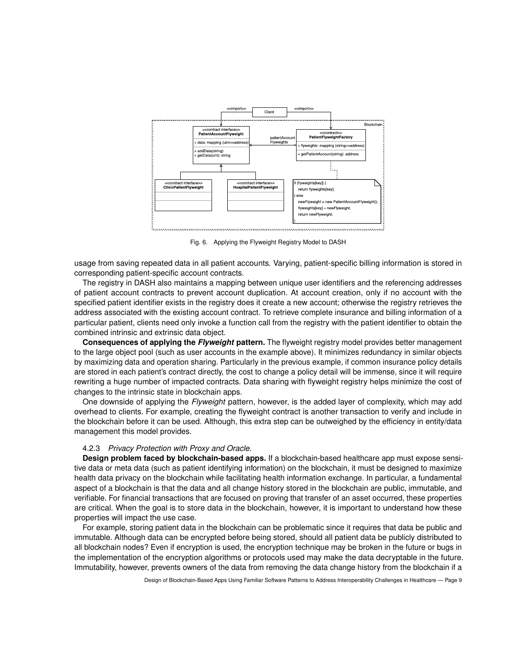![](_page_8_Figure_0.jpeg)

<span id="page-8-1"></span>Fig. 6. Applying the Flyweight Registry Model to DASH

usage from saving repeated data in all patient accounts. Varying, patient-specific billing information is stored in corresponding patient-specific account contracts.

The registry in DASH also maintains a mapping between unique user identifiers and the referencing addresses of patient account contracts to prevent account duplication. At account creation, only if no account with the specified patient identifier exists in the registry does it create a new account; otherwise the registry retrieves the address associated with the existing account contract. To retrieve complete insurance and billing information of a particular patient, clients need only invoke a function call from the registry with the patient identifier to obtain the combined intrinsic and extrinsic data object.

**Consequences of applying the** *Flyweight* **pattern.** The flyweight registry model provides better management to the large object pool (such as user accounts in the example above). It minimizes redundancy in similar objects by maximizing data and operation sharing. Particularly in the previous example, if common insurance policy details are stored in each patient's contract directly, the cost to change a policy detail will be immense, since it will require rewriting a huge number of impacted contracts. Data sharing with flyweight registry helps minimize the cost of changes to the intrinsic state in blockchain apps.

One downside of applying the *Flyweight* pattern, however, is the added layer of complexity, which may add overhead to clients. For example, creating the flyweight contract is another transaction to verify and include in the blockchain before it can be used. Although, this extra step can be outweighed by the efficiency in entity/data management this model provides.

## <span id="page-8-0"></span>4.2.3 *Privacy Protection with Proxy and Oracle.*

**Design problem faced by blockchain-based apps.** If a blockchain-based healthcare app must expose sensitive data or meta data (such as patient identifying information) on the blockchain, it must be designed to maximize health data privacy on the blockchain while facilitating health information exchange. In particular, a fundamental aspect of a blockchain is that the data and all change history stored in the blockchain are public, immutable, and verifiable. For financial transactions that are focused on proving that transfer of an asset occurred, these properties are critical. When the goal is to store data in the blockchain, however, it is important to understand how these properties will impact the use case.

For example, storing patient data in the blockchain can be problematic since it requires that data be public and immutable. Although data can be encrypted before being stored, should all patient data be publicly distributed to all blockchain nodes? Even if encryption is used, the encryption technique may be broken in the future or bugs in the implementation of the encryption algorithms or protocols used may make the data decryptable in the future. Immutability, however, prevents owners of the data from removing the data change history from the blockchain if a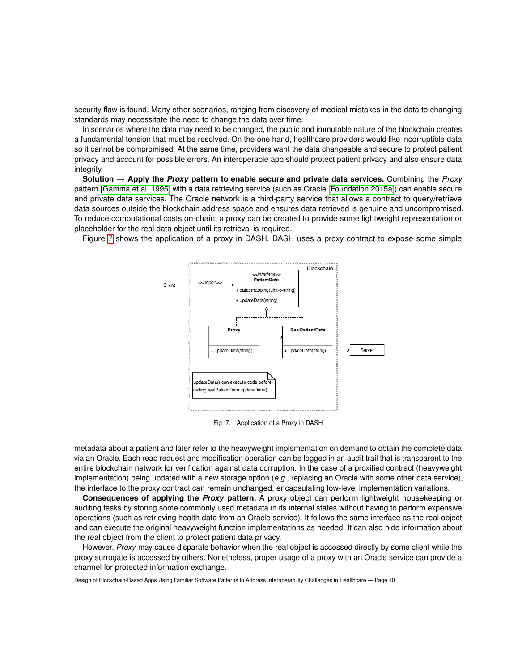security flaw is found. Many other scenarios, ranging from discovery of medical mistakes in the data to changing standards may necessitate the need to change the data over time.

In scenarios where the data may need to be changed, the public and immutable nature of the blockchain creates a fundamental tension that must be resolved. On the one hand, healthcare providers would like incorruptible data so it cannot be compromised. At the same time, providers want the data changeable and secure to protect patient privacy and account for possible errors. An interoperable app should protect patient privacy and also ensure data integrity.

**Solution** → **Apply the** *Proxy* **pattern to enable secure and private data services.** Combining the *Proxy* pattern [\[Gamma et al.](#page-12-7) 1995] with a data retrieving service (such as Oracle [\[Foundation 2015a\]](#page-12-9)) can enable secure and private data services. The Oracle network is a third-party service that allows a contract to query/retrieve data sources outside the blockchain address space and ensures data retrieved is genuine and uncompromised. To reduce computational costs on-chain, a proxy can be created to provide some lightweight representation or placeholder for the real data object until its retrieval is required.

Figure [7](#page-9-0) shows the application of a proxy in DASH. DASH uses a proxy contract to expose some simple

![](_page_9_Figure_4.jpeg)

<span id="page-9-0"></span>Fig. 7. Application of a Proxy in DASH

metadata about a patient and later refer to the heavyweight implementation on demand to obtain the complete data via an Oracle. Each read request and modification operation can be logged in an audit trail that is transparent to the entire blockchain network for verification against data corruption. In the case of a proxified contract (heavyweight implementation) being updated with a new storage option (*e.g.*, replacing an Oracle with some other data service), the interface to the proxy contract can remain unchanged, encapsulating low-level implementation variations.

**Consequences of applying the** *Proxy* **pattern.** A proxy object can perform lightweight housekeeping or auditing tasks by storing some commonly used metadata in its internal states without having to perform expensive operations (such as retrieving health data from an Oracle service). It follows the same interface as the real object and can execute the original heavyweight function implementations as needed. It can also hide information about the real object from the client to protect patient data privacy.

However, *Proxy* may cause disparate behavior when the real object is accessed directly by some client while the proxy surrogate is accessed by others. Nonetheless, proper usage of a proxy with an Oracle service can provide a channel for protected information exchange.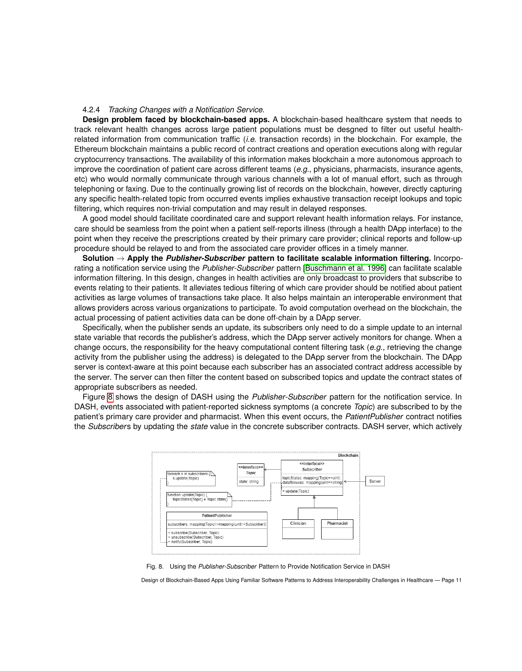#### 4.2.4 *Tracking Changes with a Notification Service.*

**Design problem faced by blockchain-based apps.** A blockchain-based healthcare system that needs to track relevant health changes across large patient populations must be desgned to filter out useful healthrelated information from communication traffic (*i.e.* transaction records) in the blockchain. For example, the Ethereum blockchain maintains a public record of contract creations and operation executions along with regular cryptocurrency transactions. The availability of this information makes blockchain a more autonomous approach to improve the coordination of patient care across different teams (*e.g.*, physicians, pharmacists, insurance agents, etc) who would normally communicate through various channels with a lot of manual effort, such as through telephoning or faxing. Due to the continually growing list of records on the blockchain, however, directly capturing any specific health-related topic from occurred events implies exhaustive transaction receipt lookups and topic filtering, which requires non-trivial computation and may result in delayed responses.

A good model should facilitate coordinated care and support relevant health information relays. For instance, care should be seamless from the point when a patient self-reports illness (through a health DApp interface) to the point when they receive the prescriptions created by their primary care provider; clinical reports and follow-up procedure should be relayed to and from the associated care provider offices in a timely manner.

**Solution** → **Apply the** *Publisher-Subscriber* **pattern to facilitate scalable information filtering.** Incorporating a notification service using the *Publisher-Subscriber* pattern [\[Buschmann et al.](#page-12-10) 1996] can facilitate scalable information filtering. In this design, changes in health activities are only broadcast to providers that subscribe to events relating to their patients. It alleviates tedious filtering of which care provider should be notified about patient activities as large volumes of transactions take place. It also helps maintain an interoperable environment that allows providers across various organizations to participate. To avoid computation overhead on the blockchain, the actual processing of patient activities data can be done off-chain by a DApp server.

Specifically, when the publisher sends an update, its subscribers only need to do a simple update to an internal state variable that records the publisher's address, which the DApp server actively monitors for change. When a change occurs, the responsibility for the heavy computational content filtering task (*e.g.,* retrieving the change activity from the publisher using the address) is delegated to the DApp server from the blockchain. The DApp server is context-aware at this point because each subscriber has an associated contract address accessible by the server. The server can then filter the content based on subscribed topics and update the contract states of appropriate subscribers as needed.

Figure [8](#page-10-0) shows the design of DASH using the *Publisher-Subscriber* pattern for the notification service. In DASH, events associated with patient-reported sickness symptoms (a concrete *Topic*) are subscribed to by the patient's primary care provider and pharmacist. When this event occurs, the *PatientPublisher* contract notifies the *Subscriber*s by updating the *state* value in the concrete subscriber contracts. DASH server, which actively

![](_page_10_Figure_6.jpeg)

<span id="page-10-0"></span>Fig. 8. Using the *Publisher-Subscriber* Pattern to Provide Notification Service in DASH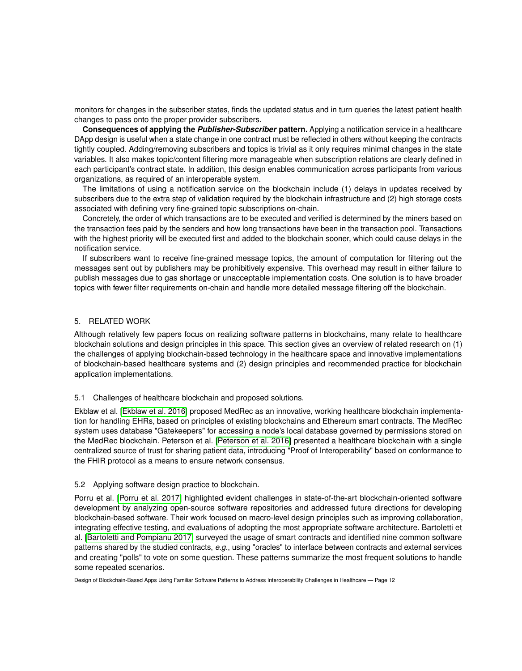monitors for changes in the subscriber states, finds the updated status and in turn queries the latest patient health changes to pass onto the proper provider subscribers.

**Consequences of applying the** *Publisher-Subscriber* **pattern.** Applying a notification service in a healthcare DApp design is useful when a state change in one contract must be reflected in others without keeping the contracts tightly coupled. Adding/removing subscribers and topics is trivial as it only requires minimal changes in the state variables. It also makes topic/content filtering more manageable when subscription relations are clearly defined in each participant's contract state. In addition, this design enables communication across participants from various organizations, as required of an interoperable system.

The limitations of using a notification service on the blockchain include (1) delays in updates received by subscribers due to the extra step of validation required by the blockchain infrastructure and (2) high storage costs associated with defining very fine-grained topic subscriptions on-chain.

Concretely, the order of which transactions are to be executed and verified is determined by the miners based on the transaction fees paid by the senders and how long transactions have been in the transaction pool. Transactions with the highest priority will be executed first and added to the blockchain sooner, which could cause delays in the notification service.

If subscribers want to receive fine-grained message topics, the amount of computation for filtering out the messages sent out by publishers may be prohibitively expensive. This overhead may result in either failure to publish messages due to gas shortage or unacceptable implementation costs. One solution is to have broader topics with fewer filter requirements on-chain and handle more detailed message filtering off the blockchain.

## 5. RELATED WORK

Although relatively few papers focus on realizing software patterns in blockchains, many relate to healthcare blockchain solutions and design principles in this space. This section gives an overview of related research on (1) the challenges of applying blockchain-based technology in the healthcare space and innovative implementations of blockchain-based healthcare systems and (2) design principles and recommended practice for blockchain application implementations.

#### 5.1 Challenges of healthcare blockchain and proposed solutions.

Ekblaw et al. [\[Ekblaw et al.](#page-12-5) 2016] proposed MedRec as an innovative, working healthcare blockchain implementation for handling EHRs, based on principles of existing blockchains and Ethereum smart contracts. The MedRec system uses database "Gatekeepers" for accessing a node's local database governed by permissions stored on the MedRec blockchain. Peterson et al. [\[Peterson et al.](#page-13-0) 2016] presented a healthcare blockchain with a single centralized source of trust for sharing patient data, introducing "Proof of Interoperability" based on conformance to the FHIR protocol as a means to ensure network consensus.

## 5.2 Applying software design practice to blockchain.

Porru et al. [\[Porru et al.](#page-13-1) 2017] highlighted evident challenges in state-of-the-art blockchain-oriented software development by analyzing open-source software repositories and addressed future directions for developing blockchain-based software. Their work focused on macro-level design principles such as improving collaboration, integrating effective testing, and evaluations of adopting the most appropriate software architecture. Bartoletti et al. [\[Bartoletti and Pompianu 2017\]](#page-12-6) surveyed the usage of smart contracts and identified nine common software patterns shared by the studied contracts, *e.g.*, using "oracles" to interface between contracts and external services and creating "polls" to vote on some question. These patterns summarize the most frequent solutions to handle some repeated scenarios.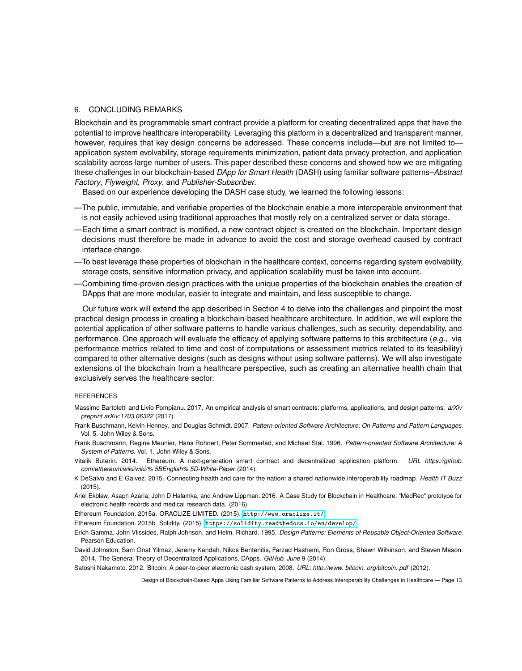#### 6. CONCLUDING REMARKS

Blockchain and its programmable smart contract provide a platform for creating decentralized apps that have the potential to improve healthcare interoperability. Leveraging this platform in a decentralized and transparent manner, however, requires that key design concerns be addressed. These concerns include—but are not limited to application system evolvability, storage requirements minimization, patient data privacy protection, and application scalability across large number of users. This paper described these concerns and showed how we are mitigating these challenges in our blockchain-based *DApp for Smart Health* (DASH) using familiar software patterns–*Abstract Factory*, *Flyweight*, *Proxy*, and *Publisher-Subscriber*.

Based on our experience developing the DASH case study, we learned the following lessons:

- —The public, immutable, and verifiable properties of the blockchain enable a more interoperable environment that is not easily achieved using traditional approaches that mostly rely on a centralized server or data storage.
- —Each time a smart contract is modified, a new contract object is created on the blockchain. Important design decisions must therefore be made in advance to avoid the cost and storage overhead caused by contract interface change.
- —To best leverage these properties of blockchain in the healthcare context, concerns regarding system evolvability, storage costs, sensitive information privacy, and application scalability must be taken into account.
- —Combining time-proven design practices with the unique properties of the blockchain enables the creation of DApps that are more modular, easier to integrate and maintain, and less susceptible to change.

Our future work will extend the app described in Section 4 to delve into the challenges and pinpoint the most practical design process in creating a blockchain-based healthcare architecture. In addition, we will explore the potential application of other software patterns to handle various challenges, such as security, dependability, and performance. One approach will evaluate the efficacy of applying software patterns to this architecture (*e.g.,* via performance metrics related to time and cost of computations or assessment metrics related to its feasibility) compared to other alternative designs (such as designs without using software patterns). We will also investigate extensions of the blockchain from a healthcare perspective, such as creating an alternative health chain that exclusively serves the healthcare sector.

## **REFERENCES**

- <span id="page-12-6"></span>Massimo Bartoletti and Livio Pompianu. 2017. An empirical analysis of smart contracts: platforms, applications, and design patterns. *arXiv preprint arXiv:1703.06322* (2017).
- <span id="page-12-8"></span>Frank Buschmann, Kelvin Henney, and Douglas Schmidt. 2007. *Pattern-oriented Software Architecture: On Patterns and Pattern Languages*. Vol. 5. John Wiley & Sons.
- <span id="page-12-10"></span>Frank Buschmann, Regine Meunier, Hans Rohnert, Peter Sommerlad, and Michael Stal. 1996. *Pattern-oriented Software Architecture: A System of Patterns*. Vol. 1. John Wiley & Sons.
- <span id="page-12-3"></span>Vitalik Buterin. 2014. Ethereum: A next-generation smart contract and decentralized application platform. *URL https://github. com/ethereum/wiki/wiki/% 5BEnglish% 5D-White-Paper* (2014).
- <span id="page-12-2"></span>K DeSalvo and E Galvez. 2015. Connecting health and care for the nation: a shared nationwide interoperability roadmap. *Health IT Buzz* (2015).
- <span id="page-12-5"></span>Ariel Ekblaw, Asaph Azaria, John D Halamka, and Andrew Lippman. 2016. A Case Study for Blockchain in Healthcare: "MedRec" prototype for electronic health records and medical research data. (2016).

<span id="page-12-9"></span>Ethereum Foundation. 2015a. ORACLIZE LIMITED. (2015). <http://www.oraclize.it/>

<span id="page-12-4"></span>Ethereum Foundation. 2015b. Solidity. (2015). <https://solidity.readthedocs.io/en/develop/>

- <span id="page-12-7"></span>Erich Gamma, John Vlissides, Ralph Johnson, and Helm. Richard. 1995. *Design Patterns: Elements of Reusable Object-Oriented Software*. Pearson Education.
- <span id="page-12-1"></span>David Johnston, Sam Onat Yilmaz, Jeremy Kandah, Nikos Bentenitis, Farzad Hashemi, Ron Gross, Shawn Wilkinson, and Steven Mason. 2014. The General Theory of Decentralized Applications, DApps. *GitHub, June* 9 (2014).

<span id="page-12-0"></span>Satoshi Nakamoto. 2012. Bitcoin: A peer-to-peer electronic cash system, 2008. *URL: http://www. bitcoin. org/bitcoin. pdf* (2012).